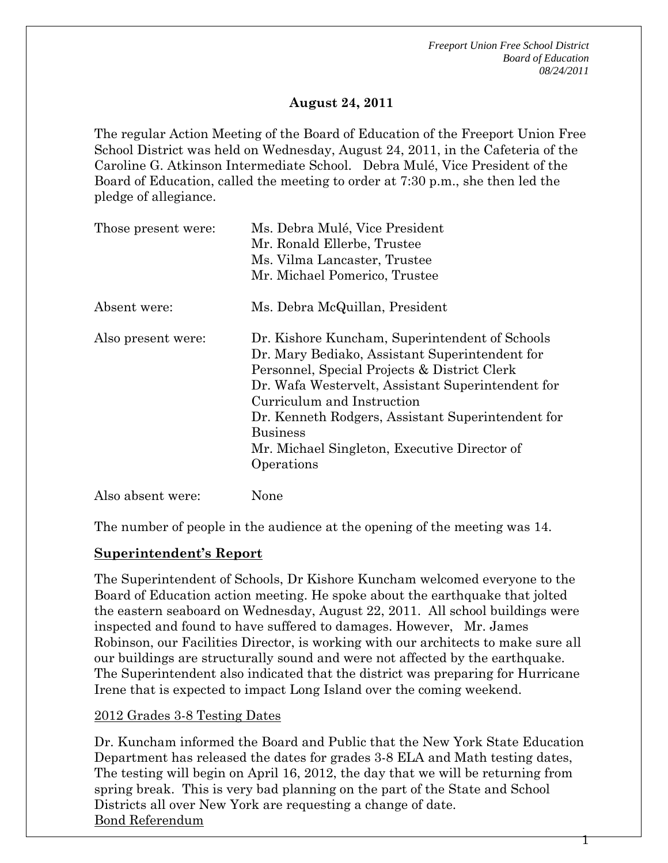*Freeport Union Free School District Board of Education 08/24/2011* 

1

#### **August 24, 2011**

The regular Action Meeting of the Board of Education of the Freeport Union Free School District was held on Wednesday, August 24, 2011, in the Cafeteria of the Caroline G. Atkinson Intermediate School. Debra Mulé, Vice President of the Board of Education, called the meeting to order at 7:30 p.m., she then led the pledge of allegiance.

| Those present were: | Ms. Debra Mulé, Vice President<br>Mr. Ronald Ellerbe, Trustee<br>Ms. Vilma Lancaster, Trustee                                                                                                                                                                                                                                                                             |
|---------------------|---------------------------------------------------------------------------------------------------------------------------------------------------------------------------------------------------------------------------------------------------------------------------------------------------------------------------------------------------------------------------|
|                     | Mr. Michael Pomerico, Trustee                                                                                                                                                                                                                                                                                                                                             |
| Absent were:        | Ms. Debra McQuillan, President                                                                                                                                                                                                                                                                                                                                            |
| Also present were:  | Dr. Kishore Kuncham, Superintendent of Schools<br>Dr. Mary Bediako, Assistant Superintendent for<br>Personnel, Special Projects & District Clerk<br>Dr. Wafa Westervelt, Assistant Superintendent for<br>Curriculum and Instruction<br>Dr. Kenneth Rodgers, Assistant Superintendent for<br><b>Business</b><br>Mr. Michael Singleton, Executive Director of<br>Operations |
| Also absent were:   | None                                                                                                                                                                                                                                                                                                                                                                      |

The number of people in the audience at the opening of the meeting was 14.

#### **Superintendent's Report**

The Superintendent of Schools, Dr Kishore Kuncham welcomed everyone to the Board of Education action meeting. He spoke about the earthquake that jolted the eastern seaboard on Wednesday, August 22, 2011. All school buildings were inspected and found to have suffered to damages. However, Mr. James Robinson, our Facilities Director, is working with our architects to make sure all our buildings are structurally sound and were not affected by the earthquake. The Superintendent also indicated that the district was preparing for Hurricane Irene that is expected to impact Long Island over the coming weekend.

#### 2012 Grades 3-8 Testing Dates

Dr. Kuncham informed the Board and Public that the New York State Education Department has released the dates for grades 3-8 ELA and Math testing dates, The testing will begin on April 16, 2012, the day that we will be returning from spring break. This is very bad planning on the part of the State and School Districts all over New York are requesting a change of date. Bond Referendum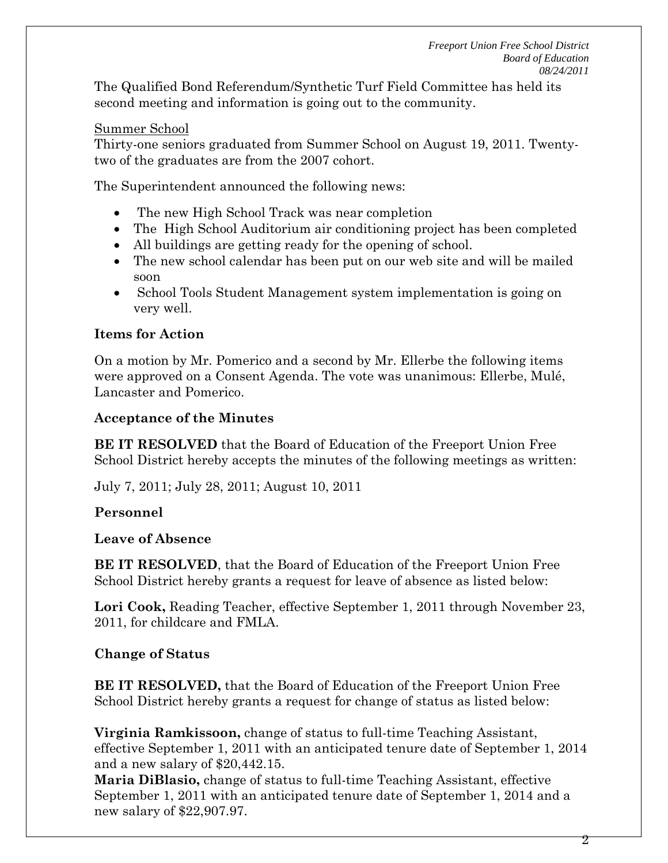The Qualified Bond Referendum/Synthetic Turf Field Committee has held its second meeting and information is going out to the community.

#### Summer School

Thirty-one seniors graduated from Summer School on August 19, 2011. Twentytwo of the graduates are from the 2007 cohort.

The Superintendent announced the following news:

- The new High School Track was near completion
- The High School Auditorium air conditioning project has been completed
- All buildings are getting ready for the opening of school.
- The new school calendar has been put on our web site and will be mailed soon
- School Tools Student Management system implementation is going on very well.

# **Items for Action**

On a motion by Mr. Pomerico and a second by Mr. Ellerbe the following items were approved on a Consent Agenda. The vote was unanimous: Ellerbe, Mulé, Lancaster and Pomerico.

### **Acceptance of the Minutes**

**BE IT RESOLVED** that the Board of Education of the Freeport Union Free School District hereby accepts the minutes of the following meetings as written:

July 7, 2011; July 28, 2011; August 10, 2011

# **Personnel**

#### **Leave of Absence**

**BE IT RESOLVED**, that the Board of Education of the Freeport Union Free School District hereby grants a request for leave of absence as listed below:

**Lori Cook,** Reading Teacher, effective September 1, 2011 through November 23, 2011, for childcare and FMLA.

#### **Change of Status**

**BE IT RESOLVED,** that the Board of Education of the Freeport Union Free School District hereby grants a request for change of status as listed below:

**Virginia Ramkissoon,** change of status to full-time Teaching Assistant, effective September 1, 2011 with an anticipated tenure date of September 1, 2014 and a new salary of \$20,442.15.

**Maria DiBlasio,** change of status to full-time Teaching Assistant, effective September 1, 2011 with an anticipated tenure date of September 1, 2014 and a new salary of \$22,907.97.

2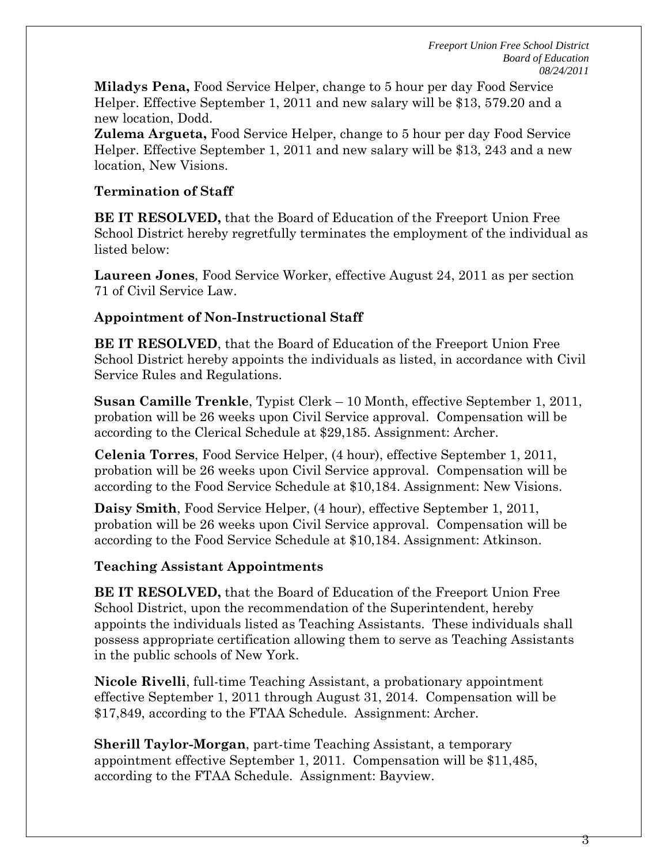**Miladys Pena,** Food Service Helper, change to 5 hour per day Food Service Helper. Effective September 1, 2011 and new salary will be \$13, 579.20 and a new location, Dodd.

**Zulema Argueta,** Food Service Helper, change to 5 hour per day Food Service Helper. Effective September 1, 2011 and new salary will be \$13, 243 and a new location, New Visions.

### **Termination of Staff**

**BE IT RESOLVED,** that the Board of Education of the Freeport Union Free School District hereby regretfully terminates the employment of the individual as listed below:

**Laureen Jones**, Food Service Worker, effective August 24, 2011 as per section 71 of Civil Service Law.

# **Appointment of Non-Instructional Staff**

**BE IT RESOLVED**, that the Board of Education of the Freeport Union Free School District hereby appoints the individuals as listed, in accordance with Civil Service Rules and Regulations.

**Susan Camille Trenkle**, Typist Clerk – 10 Month, effective September 1, 2011, probation will be 26 weeks upon Civil Service approval. Compensation will be according to the Clerical Schedule at \$29,185. Assignment: Archer.

**Celenia Torres**, Food Service Helper, (4 hour), effective September 1, 2011, probation will be 26 weeks upon Civil Service approval. Compensation will be according to the Food Service Schedule at \$10,184. Assignment: New Visions.

**Daisy Smith**, Food Service Helper, (4 hour), effective September 1, 2011, probation will be 26 weeks upon Civil Service approval. Compensation will be according to the Food Service Schedule at \$10,184. Assignment: Atkinson.

# **Teaching Assistant Appointments**

**BE IT RESOLVED,** that the Board of Education of the Freeport Union Free School District, upon the recommendation of the Superintendent, hereby appoints the individuals listed as Teaching Assistants. These individuals shall possess appropriate certification allowing them to serve as Teaching Assistants in the public schools of New York.

**Nicole Rivelli**, full-time Teaching Assistant, a probationary appointment effective September 1, 2011 through August 31, 2014. Compensation will be \$17,849, according to the FTAA Schedule. Assignment: Archer.

**Sherill Taylor-Morgan**, part-time Teaching Assistant, a temporary appointment effective September 1, 2011. Compensation will be \$11,485, according to the FTAA Schedule. Assignment: Bayview.

3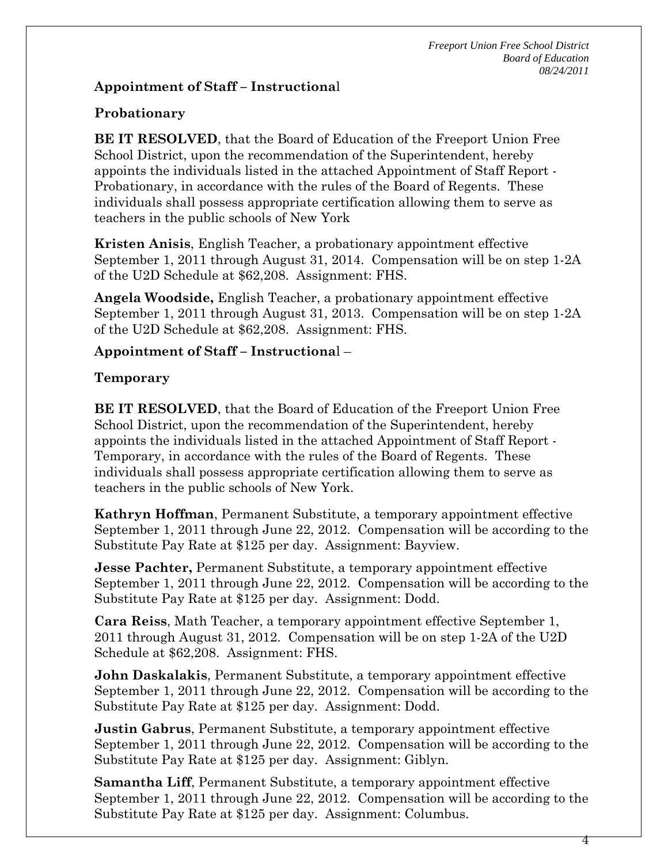*Freeport Union Free School District Board of Education 08/24/2011* 

#### **Appointment of Staff – Instructiona**l

# **Probationary**

**BE IT RESOLVED**, that the Board of Education of the Freeport Union Free School District, upon the recommendation of the Superintendent, hereby appoints the individuals listed in the attached Appointment of Staff Report - Probationary, in accordance with the rules of the Board of Regents. These individuals shall possess appropriate certification allowing them to serve as teachers in the public schools of New York

**Kristen Anisis**, English Teacher, a probationary appointment effective September 1, 2011 through August 31, 2014. Compensation will be on step 1-2A of the U2D Schedule at \$62,208. Assignment: FHS.

**Angela Woodside,** English Teacher, a probationary appointment effective September 1, 2011 through August 31, 2013. Compensation will be on step 1-2A of the U2D Schedule at \$62,208. Assignment: FHS.

### **Appointment of Staff – Instructiona**l –

### **Temporary**

**BE IT RESOLVED**, that the Board of Education of the Freeport Union Free School District, upon the recommendation of the Superintendent, hereby appoints the individuals listed in the attached Appointment of Staff Report - Temporary, in accordance with the rules of the Board of Regents. These individuals shall possess appropriate certification allowing them to serve as teachers in the public schools of New York.

**Kathryn Hoffman**, Permanent Substitute, a temporary appointment effective September 1, 2011 through June 22, 2012. Compensation will be according to the Substitute Pay Rate at \$125 per day. Assignment: Bayview.

**Jesse Pachter,** Permanent Substitute, a temporary appointment effective September 1, 2011 through June 22, 2012. Compensation will be according to the Substitute Pay Rate at \$125 per day. Assignment: Dodd.

**Cara Reiss**, Math Teacher, a temporary appointment effective September 1, 2011 through August 31, 2012. Compensation will be on step 1-2A of the U2D Schedule at \$62,208. Assignment: FHS.

**John Daskalakis**, Permanent Substitute, a temporary appointment effective September 1, 2011 through June 22, 2012. Compensation will be according to the Substitute Pay Rate at \$125 per day. Assignment: Dodd.

**Justin Gabrus**, Permanent Substitute, a temporary appointment effective September 1, 2011 through June 22, 2012. Compensation will be according to the Substitute Pay Rate at \$125 per day. Assignment: Giblyn.

**Samantha Liff**, Permanent Substitute, a temporary appointment effective September 1, 2011 through June 22, 2012. Compensation will be according to the Substitute Pay Rate at \$125 per day. Assignment: Columbus.

4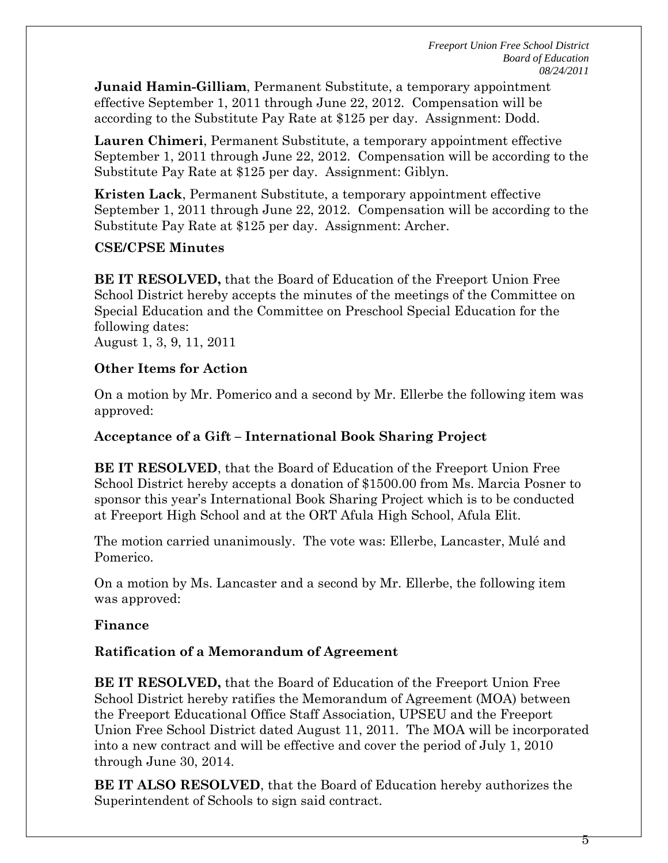**Junaid Hamin-Gilliam**, Permanent Substitute, a temporary appointment effective September 1, 2011 through June 22, 2012. Compensation will be according to the Substitute Pay Rate at \$125 per day. Assignment: Dodd.

**Lauren Chimeri**, Permanent Substitute, a temporary appointment effective September 1, 2011 through June 22, 2012. Compensation will be according to the Substitute Pay Rate at \$125 per day. Assignment: Giblyn.

**Kristen Lack**, Permanent Substitute, a temporary appointment effective September 1, 2011 through June 22, 2012. Compensation will be according to the Substitute Pay Rate at \$125 per day. Assignment: Archer.

### **CSE/CPSE Minutes**

**BE IT RESOLVED,** that the Board of Education of the Freeport Union Free School District hereby accepts the minutes of the meetings of the Committee on Special Education and the Committee on Preschool Special Education for the following dates: August 1, 3, 9, 11, 2011

### **Other Items for Action**

On a motion by Mr. Pomerico and a second by Mr. Ellerbe the following item was approved:

### **Acceptance of a Gift – International Book Sharing Project**

**BE IT RESOLVED**, that the Board of Education of the Freeport Union Free School District hereby accepts a donation of \$1500.00 from Ms. Marcia Posner to sponsor this year's International Book Sharing Project which is to be conducted at Freeport High School and at the ORT Afula High School, Afula Elit.

The motion carried unanimously. The vote was: Ellerbe, Lancaster, Mulé and Pomerico.

On a motion by Ms. Lancaster and a second by Mr. Ellerbe, the following item was approved:

#### **Finance**

# **Ratification of a Memorandum of Agreement**

**BE IT RESOLVED,** that the Board of Education of the Freeport Union Free School District hereby ratifies the Memorandum of Agreement (MOA) between the Freeport Educational Office Staff Association, UPSEU and the Freeport Union Free School District dated August 11, 2011. The MOA will be incorporated into a new contract and will be effective and cover the period of July 1, 2010 through June 30, 2014.

**BE IT ALSO RESOLVED**, that the Board of Education hereby authorizes the Superintendent of Schools to sign said contract.